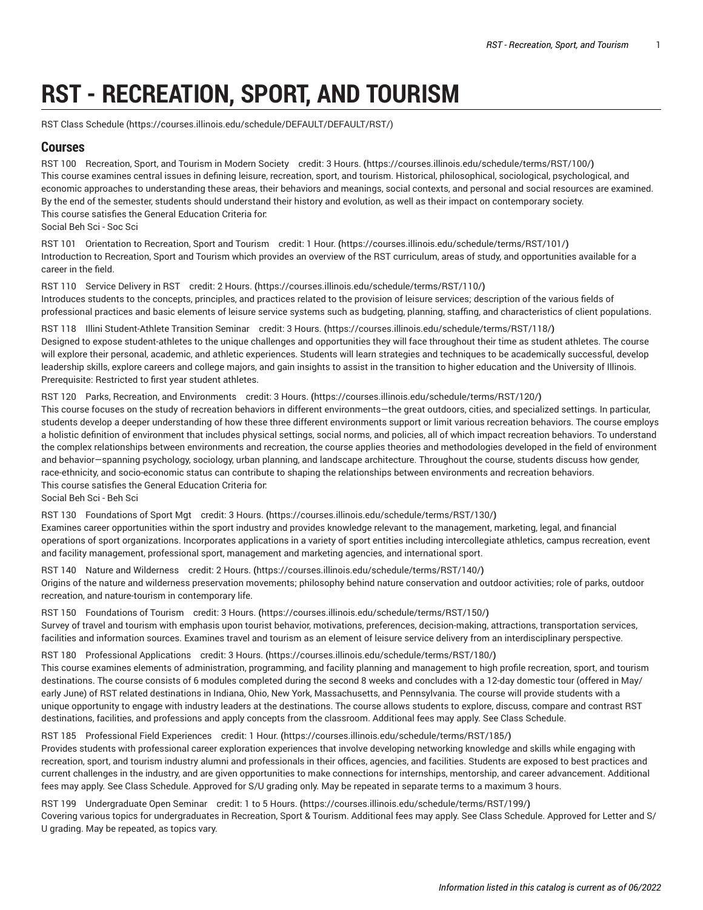# **RST - RECREATION, SPORT, AND TOURISM**

[RST Class Schedule](https://courses.illinois.edu/schedule/DEFAULT/DEFAULT/RST/) (<https://courses.illinois.edu/schedule/DEFAULT/DEFAULT/RST/>)

## **Courses**

RST 100 [Recreation,](https://courses.illinois.edu/schedule/terms/RST/100/) Sport, and Tourism in Modern Society credit: 3 Hours. **(**<https://courses.illinois.edu/schedule/terms/RST/100/>**)** This course examines central issues in defining leisure, recreation, sport, and tourism. Historical, philosophical, sociological, psychological, and economic approaches to understanding these areas, their behaviors and meanings, social contexts, and personal and social resources are examined. By the end of the semester, students should understand their history and evolution, as well as their impact on contemporary society. This course satisfies the General Education Criteria for: Social Beh Sci - Soc Sci

RST 101 Orientation to [Recreation,](https://courses.illinois.edu/schedule/terms/RST/101/) Sport and Tourism credit: 1 Hour. **(**<https://courses.illinois.edu/schedule/terms/RST/101/>**)** Introduction to Recreation, Sport and Tourism which provides an overview of the RST curriculum, areas of study, and opportunities available for a career in the field.

RST 110 Service [Delivery](https://courses.illinois.edu/schedule/terms/RST/110/) in RST credit: 2 Hours. **(**<https://courses.illinois.edu/schedule/terms/RST/110/>**)** Introduces students to the concepts, principles, and practices related to the provision of leisure services; description of the various fields of professional practices and basic elements of leisure service systems such as budgeting, planning, staffing, and characteristics of client populations.

RST 118 Illini [Student-Athlete](https://courses.illinois.edu/schedule/terms/RST/118/) Transition Seminar credit: 3 Hours. **(**<https://courses.illinois.edu/schedule/terms/RST/118/>**)** Designed to expose student-athletes to the unique challenges and opportunities they will face throughout their time as student athletes. The course will explore their personal, academic, and athletic experiences. Students will learn strategies and techniques to be academically successful, develop leadership skills, explore careers and college majors, and gain insights to assist in the transition to higher education and the University of Illinois. Prerequisite: Restricted to first year student athletes.

#### RST 120 Parks, Recreation, and [Environments](https://courses.illinois.edu/schedule/terms/RST/120/) credit: 3 Hours. **(**<https://courses.illinois.edu/schedule/terms/RST/120/>**)**

This course focuses on the study of recreation behaviors in different environments—the great outdoors, cities, and specialized settings. In particular, students develop a deeper understanding of how these three different environments support or limit various recreation behaviors. The course employs a holistic definition of environment that includes physical settings, social norms, and policies, all of which impact recreation behaviors. To understand the complex relationships between environments and recreation, the course applies theories and methodologies developed in the field of environment and behavior—spanning psychology, sociology, urban planning, and landscape architecture. Throughout the course, students discuss how gender, race-ethnicity, and socio-economic status can contribute to shaping the relationships between environments and recreation behaviors. This course satisfies the General Education Criteria for:

Social Beh Sci - Beh Sci

RST 130 [Foundations](https://courses.illinois.edu/schedule/terms/RST/130/) of Sport Mgt credit: 3 Hours. **(**<https://courses.illinois.edu/schedule/terms/RST/130/>**)** Examines career opportunities within the sport industry and provides knowledge relevant to the management, marketing, legal, and financial operations of sport organizations. Incorporates applications in a variety of sport entities including intercollegiate athletics, campus recreation, event and facility management, professional sport, management and marketing agencies, and international sport.

RST 140 Nature and [Wilderness](https://courses.illinois.edu/schedule/terms/RST/140/) credit: 2 Hours. **(**<https://courses.illinois.edu/schedule/terms/RST/140/>**)** Origins of the nature and wilderness preservation movements; philosophy behind nature conservation and outdoor activities; role of parks, outdoor recreation, and nature-tourism in contemporary life.

RST 150 [Foundations](https://courses.illinois.edu/schedule/terms/RST/150/) of Tourism credit: 3 Hours. **(**<https://courses.illinois.edu/schedule/terms/RST/150/>**)** Survey of travel and tourism with emphasis upon tourist behavior, motivations, preferences, decision-making, attractions, transportation services, facilities and information sources. Examines travel and tourism as an element of leisure service delivery from an interdisciplinary perspective.

RST 180 [Professional](https://courses.illinois.edu/schedule/terms/RST/180/) Applications credit: 3 Hours. **(**<https://courses.illinois.edu/schedule/terms/RST/180/>**)**

This course examines elements of administration, programming, and facility planning and management to high profile recreation, sport, and tourism destinations. The course consists of 6 modules completed during the second 8 weeks and concludes with a 12-day domestic tour (offered in May/ early June) of RST related destinations in Indiana, Ohio, New York, Massachusetts, and Pennsylvania. The course will provide students with a unique opportunity to engage with industry leaders at the destinations. The course allows students to explore, discuss, compare and contrast RST destinations, facilities, and professions and apply concepts from the classroom. Additional fees may apply. See Class Schedule.

RST 185 [Professional](https://courses.illinois.edu/schedule/terms/RST/185/) Field Experiences credit: 1 Hour. **(**<https://courses.illinois.edu/schedule/terms/RST/185/>**)**

Provides students with professional career exploration experiences that involve developing networking knowledge and skills while engaging with recreation, sport, and tourism industry alumni and professionals in their offices, agencies, and facilities. Students are exposed to best practices and current challenges in the industry, and are given opportunities to make connections for internships, mentorship, and career advancement. Additional fees may apply. See Class Schedule. Approved for S/U grading only. May be repeated in separate terms to a maximum 3 hours.

RST 199 [Undergraduate](https://courses.illinois.edu/schedule/terms/RST/199/) Open Seminar credit: 1 to 5 Hours. **(**<https://courses.illinois.edu/schedule/terms/RST/199/>**)** Covering various topics for undergraduates in Recreation, Sport & Tourism. Additional fees may apply. See Class Schedule. Approved for Letter and S/

U grading. May be repeated, as topics vary.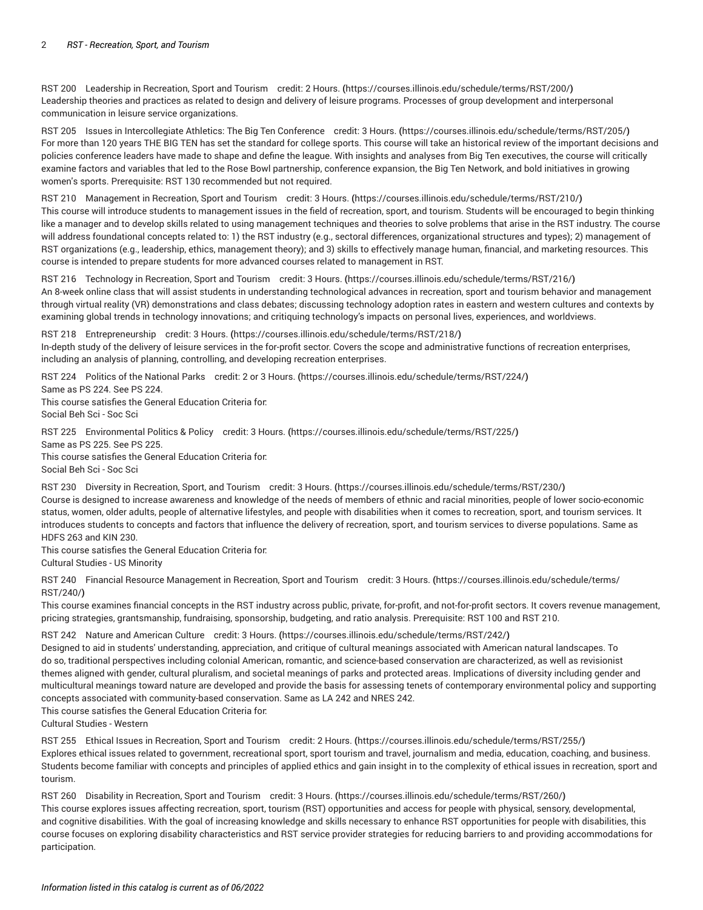RST 200 Leadership in [Recreation,](https://courses.illinois.edu/schedule/terms/RST/200/) Sport and Tourism credit: 2 Hours. **(**<https://courses.illinois.edu/schedule/terms/RST/200/>**)** Leadership theories and practices as related to design and delivery of leisure programs. Processes of group development and interpersonal communication in leisure service organizations.

RST 205 Issues in [Intercollegiate](https://courses.illinois.edu/schedule/terms/RST/205/) Athletics: The Big Ten Conference credit: 3 Hours. **(**<https://courses.illinois.edu/schedule/terms/RST/205/>**)** For more than 120 years THE BIG TEN has set the standard for college sports. This course will take an historical review of the important decisions and policies conference leaders have made to shape and define the league. With insights and analyses from Big Ten executives, the course will critically examine factors and variables that led to the Rose Bowl partnership, conference expansion, the Big Ten Network, and bold initiatives in growing women's sports. Prerequisite: [RST 130](/search/?P=RST%20130) recommended but not required.

RST 210 [Management](https://courses.illinois.edu/schedule/terms/RST/210/) in Recreation, Sport and Tourism credit: 3 Hours. **(**<https://courses.illinois.edu/schedule/terms/RST/210/>**)** This course will introduce students to management issues in the field of recreation, sport, and tourism. Students will be encouraged to begin thinking like a manager and to develop skills related to using management techniques and theories to solve problems that arise in the RST industry. The course will address foundational concepts related to: 1) the RST industry (e.g., sectoral differences, organizational structures and types); 2) management of RST organizations (e.g., leadership, ethics, management theory); and 3) skills to effectively manage human, financial, and marketing resources. This course is intended to prepare students for more advanced courses related to management in RST.

RST 216 [Technology](https://courses.illinois.edu/schedule/terms/RST/216/) in Recreation, Sport and Tourism credit: 3 Hours. **(**<https://courses.illinois.edu/schedule/terms/RST/216/>**)** An 8-week online class that will assist students in understanding technological advances in recreation, sport and tourism behavior and management through virtual reality (VR) demonstrations and class debates; discussing technology adoption rates in eastern and western cultures and contexts by examining global trends in technology innovations; and critiquing technology's impacts on personal lives, experiences, and worldviews.

RST 218 [Entrepreneurship](https://courses.illinois.edu/schedule/terms/RST/218/) credit: 3 Hours. **(**<https://courses.illinois.edu/schedule/terms/RST/218/>**)** In-depth study of the delivery of leisure services in the for-profit sector. Covers the scope and administrative functions of recreation enterprises, including an analysis of planning, controlling, and developing recreation enterprises.

RST 224 Politics of the [National](https://courses.illinois.edu/schedule/terms/RST/224/) Parks credit: 2 or 3 Hours. **(**<https://courses.illinois.edu/schedule/terms/RST/224/>**)** Same as [PS 224.](/search/?P=PS%20224) See [PS 224.](/search/?P=PS%20224) This course satisfies the General Education Criteria for:

RST 225 [Environmental](https://courses.illinois.edu/schedule/terms/RST/225/) Politics & Policy credit: 3 Hours. **(**<https://courses.illinois.edu/schedule/terms/RST/225/>**)** Same as [PS 225.](/search/?P=PS%20225) See [PS 225.](/search/?P=PS%20225) This course satisfies the General Education Criteria for: Social Beh Sci - Soc Sci

RST 230 Diversity in [Recreation,](https://courses.illinois.edu/schedule/terms/RST/230/) Sport, and Tourism credit: 3 Hours. **(**<https://courses.illinois.edu/schedule/terms/RST/230/>**)** Course is designed to increase awareness and knowledge of the needs of members of ethnic and racial minorities, people of lower socio-economic status, women, older adults, people of alternative lifestyles, and people with disabilities when it comes to recreation, sport, and tourism services. It introduces students to concepts and factors that influence the delivery of recreation, sport, and tourism services to diverse populations. Same as [HDFS 263](/search/?P=HDFS%20263) and [KIN 230](/search/?P=KIN%20230).

This course satisfies the General Education Criteria for:

Cultural Studies - US Minority

Social Beh Sci - Soc Sci

RST 240 Financial Resource [Management](https://courses.illinois.edu/schedule/terms/RST/240/) in Recreation, Sport and Tourism credit: 3 Hours. **(**[https://courses.illinois.edu/schedule/terms/](https://courses.illinois.edu/schedule/terms/RST/240/) [RST/240/](https://courses.illinois.edu/schedule/terms/RST/240/)**)**

This course examines financial concepts in the RST industry across public, private, for-profit, and not-for-profit sectors. It covers revenue management, pricing strategies, grantsmanship, fundraising, sponsorship, budgeting, and ratio analysis. Prerequisite: [RST 100](/search/?P=RST%20100) and [RST 210.](/search/?P=RST%20210)

RST 242 Nature and [American](https://courses.illinois.edu/schedule/terms/RST/242/) Culture credit: 3 Hours. **(**<https://courses.illinois.edu/schedule/terms/RST/242/>**)**

Designed to aid in students' understanding, appreciation, and critique of cultural meanings associated with American natural landscapes. To do so, traditional perspectives including colonial American, romantic, and science-based conservation are characterized, as well as revisionist themes aligned with gender, cultural pluralism, and societal meanings of parks and protected areas. Implications of diversity including gender and multicultural meanings toward nature are developed and provide the basis for assessing tenets of contemporary environmental policy and supporting concepts associated with community-based conservation. Same as LA [242](/search/?P=LA%20242) and [NRES 242](/search/?P=NRES%20242).

This course satisfies the General Education Criteria for:

Cultural Studies - Western

RST 255 Ethical Issues in [Recreation,](https://courses.illinois.edu/schedule/terms/RST/255/) Sport and Tourism credit: 2 Hours. **(**<https://courses.illinois.edu/schedule/terms/RST/255/>**)** Explores ethical issues related to government, recreational sport, sport tourism and travel, journalism and media, education, coaching, and business. Students become familiar with concepts and principles of applied ethics and gain insight in to the complexity of ethical issues in recreation, sport and tourism.

RST 260 Disability in [Recreation,](https://courses.illinois.edu/schedule/terms/RST/260/) Sport and Tourism credit: 3 Hours. **(**<https://courses.illinois.edu/schedule/terms/RST/260/>**)** This course explores issues affecting recreation, sport, tourism (RST) opportunities and access for people with physical, sensory, developmental,

and cognitive disabilities. With the goal of increasing knowledge and skills necessary to enhance RST opportunities for people with disabilities, this course focuses on exploring disability characteristics and RST service provider strategies for reducing barriers to and providing accommodations for participation.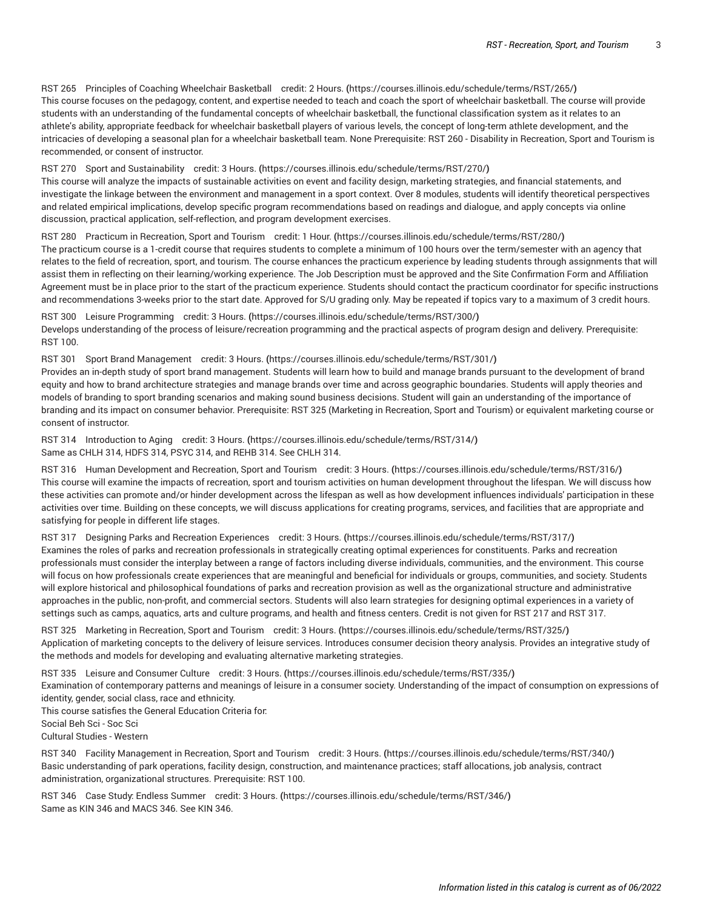RST 265 Principles of Coaching [Wheelchair](https://courses.illinois.edu/schedule/terms/RST/265/) Basketball credit: 2 Hours. **(**<https://courses.illinois.edu/schedule/terms/RST/265/>**)** This course focuses on the pedagogy, content, and expertise needed to teach and coach the sport of wheelchair basketball. The course will provide students with an understanding of the fundamental concepts of wheelchair basketball, the functional classification system as it relates to an athlete's ability, appropriate feedback for wheelchair basketball players of various levels, the concept of long-term athlete development, and the intricacies of developing a seasonal plan for a wheelchair basketball team. None Prerequisite: [RST 260](/search/?P=RST%20260) - Disability in Recreation, Sport and Tourism is recommended, or consent of instructor.

RST 270 Sport and [Sustainability](https://courses.illinois.edu/schedule/terms/RST/270/) credit: 3 Hours. **(**<https://courses.illinois.edu/schedule/terms/RST/270/>**)**

This course will analyze the impacts of sustainable activities on event and facility design, marketing strategies, and financial statements, and investigate the linkage between the environment and management in a sport context. Over 8 modules, students will identify theoretical perspectives and related empirical implications, develop specific program recommendations based on readings and dialogue, and apply concepts via online discussion, practical application, self-reflection, and program development exercises.

RST 280 Practicum in [Recreation,](https://courses.illinois.edu/schedule/terms/RST/280/) Sport and Tourism credit: 1 Hour. **(**<https://courses.illinois.edu/schedule/terms/RST/280/>**)** The practicum course is a 1-credit course that requires students to complete a minimum of 100 hours over the term/semester with an agency that relates to the field of recreation, sport, and tourism. The course enhances the practicum experience by leading students through assignments that will assist them in reflecting on their learning/working experience. The Job Description must be approved and the Site Confirmation Form and Affiliation Agreement must be in place prior to the start of the practicum experience. Students should contact the practicum coordinator for specific instructions and recommendations 3-weeks prior to the start date. Approved for S/U grading only. May be repeated if topics vary to a maximum of 3 credit hours.

RST 300 Leisure [Programming](https://courses.illinois.edu/schedule/terms/RST/300/) credit: 3 Hours. **(**<https://courses.illinois.edu/schedule/terms/RST/300/>**)** Develops understanding of the process of leisure/recreation programming and the practical aspects of program design and delivery. Prerequisite: [RST 100](/search/?P=RST%20100).

RST 301 Sport Brand [Management](https://courses.illinois.edu/schedule/terms/RST/301/) credit: 3 Hours. **(**<https://courses.illinois.edu/schedule/terms/RST/301/>**)** Provides an in-depth study of sport brand management. Students will learn how to build and manage brands pursuant to the development of brand equity and how to brand architecture strategies and manage brands over time and across geographic boundaries. Students will apply theories and models of branding to sport branding scenarios and making sound business decisions. Student will gain an understanding of the importance of branding and its impact on consumer behavior. Prerequisite: [RST 325](/search/?P=RST%20325) (Marketing in Recreation, Sport and Tourism) or equivalent marketing course or consent of instructor.

RST 314 [Introduction](https://courses.illinois.edu/schedule/terms/RST/314/) to Aging credit: 3 Hours. **(**<https://courses.illinois.edu/schedule/terms/RST/314/>**)** Same as [CHLH 314](/search/?P=CHLH%20314), [HDFS 314](/search/?P=HDFS%20314), [PSYC](/search/?P=PSYC%20314) 314, and [REHB 314](/search/?P=REHB%20314). See [CHLH 314](/search/?P=CHLH%20314).

RST 316 Human [Development](https://courses.illinois.edu/schedule/terms/RST/316/) and Recreation, Sport and Tourism credit: 3 Hours. **(**<https://courses.illinois.edu/schedule/terms/RST/316/>**)** This course will examine the impacts of recreation, sport and tourism activities on human development throughout the lifespan. We will discuss how these activities can promote and/or hinder development across the lifespan as well as how development influences individuals' participation in these activities over time. Building on these concepts, we will discuss applications for creating programs, services, and facilities that are appropriate and satisfying for people in different life stages.

RST 317 Designing Parks and Recreation [Experiences](https://courses.illinois.edu/schedule/terms/RST/317/) credit: 3 Hours. **(**<https://courses.illinois.edu/schedule/terms/RST/317/>**)** Examines the roles of parks and recreation professionals in strategically creating optimal experiences for constituents. Parks and recreation professionals must consider the interplay between a range of factors including diverse individuals, communities, and the environment. This course will focus on how professionals create experiences that are meaningful and beneficial for individuals or groups, communities, and society. Students will explore historical and philosophical foundations of parks and recreation provision as well as the organizational structure and administrative approaches in the public, non-profit, and commercial sectors. Students will also learn strategies for designing optimal experiences in a variety of settings such as camps, aquatics, arts and culture programs, and health and fitness centers. Credit is not given for RST 217 and [RST 317](/search/?P=RST%20317).

RST 325 Marketing in [Recreation,](https://courses.illinois.edu/schedule/terms/RST/325/) Sport and Tourism credit: 3 Hours. **(**<https://courses.illinois.edu/schedule/terms/RST/325/>**)** Application of marketing concepts to the delivery of leisure services. Introduces consumer decision theory analysis. Provides an integrative study of the methods and models for developing and evaluating alternative marketing strategies.

RST 335 Leisure and [Consumer](https://courses.illinois.edu/schedule/terms/RST/335/) Culture credit: 3 Hours. **(**<https://courses.illinois.edu/schedule/terms/RST/335/>**)**

Examination of contemporary patterns and meanings of leisure in a consumer society. Understanding of the impact of consumption on expressions of identity, gender, social class, race and ethnicity.

This course satisfies the General Education Criteria for:

Social Beh Sci - Soc Sci

Cultural Studies - Western

RST 340 Facility [Management](https://courses.illinois.edu/schedule/terms/RST/340/) in Recreation, Sport and Tourism credit: 3 Hours. **(**<https://courses.illinois.edu/schedule/terms/RST/340/>**)** Basic understanding of park operations, facility design, construction, and maintenance practices; staff allocations, job analysis, contract administration, organizational structures. Prerequisite: [RST 100.](/search/?P=RST%20100)

RST 346 Case Study: Endless [Summer](https://courses.illinois.edu/schedule/terms/RST/346/) credit: 3 Hours. **(**<https://courses.illinois.edu/schedule/terms/RST/346/>**)** Same as [KIN 346](/search/?P=KIN%20346) and [MACS](/search/?P=MACS%20346) 346. See [KIN 346](/search/?P=KIN%20346).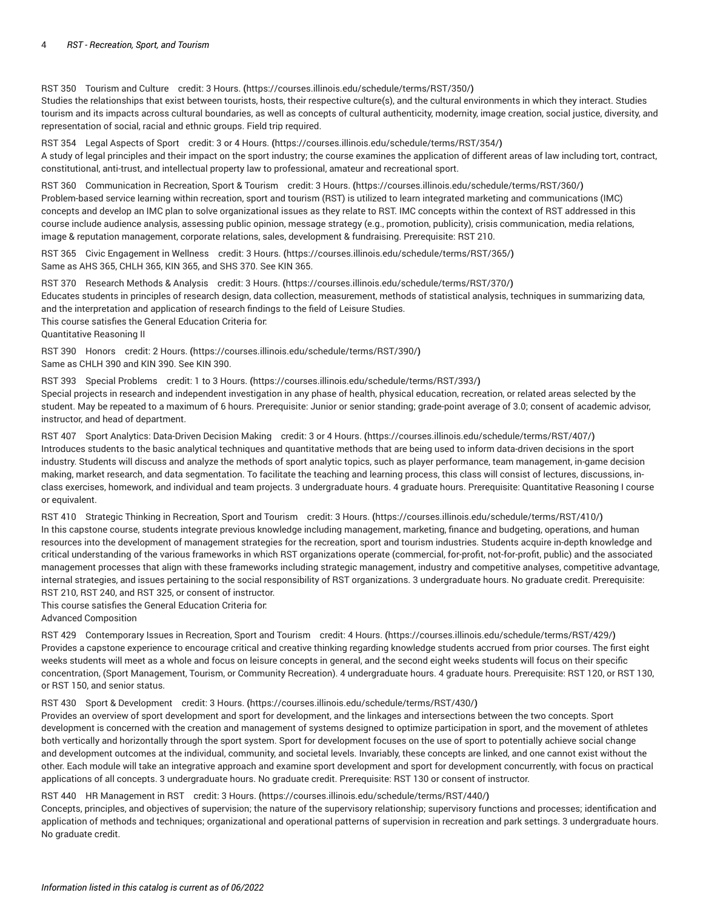RST 350 [Tourism](https://courses.illinois.edu/schedule/terms/RST/350/) and Culture credit: 3 Hours. **(**<https://courses.illinois.edu/schedule/terms/RST/350/>**)**

Studies the relationships that exist between tourists, hosts, their respective culture(s), and the cultural environments in which they interact. Studies tourism and its impacts across cultural boundaries, as well as concepts of cultural authenticity, modernity, image creation, social justice, diversity, and representation of social, racial and ethnic groups. Field trip required.

RST 354 Legal [Aspects](https://courses.illinois.edu/schedule/terms/RST/354/) of Sport credit: 3 or 4 Hours. **(**<https://courses.illinois.edu/schedule/terms/RST/354/>**)** A study of legal principles and their impact on the sport industry; the course examines the application of different areas of law including tort, contract, constitutional, anti-trust, and intellectual property law to professional, amateur and recreational sport.

RST 360 [Communication](https://courses.illinois.edu/schedule/terms/RST/360/) in Recreation, Sport & Tourism credit: 3 Hours. **(**<https://courses.illinois.edu/schedule/terms/RST/360/>**)** Problem-based service learning within recreation, sport and tourism (RST) is utilized to learn integrated marketing and communications (IMC) concepts and develop an IMC plan to solve organizational issues as they relate to RST. IMC concepts within the context of RST addressed in this course include audience analysis, assessing public opinion, message strategy (e.g., promotion, publicity), crisis communication, media relations, image & reputation management, corporate relations, sales, development & fundraising. Prerequisite: [RST 210](/search/?P=RST%20210).

RST 365 Civic [Engagement](https://courses.illinois.edu/schedule/terms/RST/365/) in Wellness credit: 3 Hours. **(**<https://courses.illinois.edu/schedule/terms/RST/365/>**)** Same as [AHS 365](/search/?P=AHS%20365), [CHLH 365](/search/?P=CHLH%20365), [KIN 365](/search/?P=KIN%20365), and [SHS 370.](/search/?P=SHS%20370) See [KIN 365.](/search/?P=KIN%20365)

RST 370 [Research](https://courses.illinois.edu/schedule/terms/RST/370/) Methods & Analysis credit: 3 Hours. **(**<https://courses.illinois.edu/schedule/terms/RST/370/>**)** Educates students in principles of research design, data collection, measurement, methods of statistical analysis, techniques in summarizing data, and the interpretation and application of research findings to the field of Leisure Studies. This course satisfies the General Education Criteria for: Quantitative Reasoning II

RST 390 [Honors](https://courses.illinois.edu/schedule/terms/RST/390/) credit: 2 Hours. **(**<https://courses.illinois.edu/schedule/terms/RST/390/>**)** Same as [CHLH 390](/search/?P=CHLH%20390) and [KIN 390](/search/?P=KIN%20390). See [KIN 390.](/search/?P=KIN%20390)

RST 393 Special [Problems](https://courses.illinois.edu/schedule/terms/RST/393/) credit: 1 to 3 Hours. **(**<https://courses.illinois.edu/schedule/terms/RST/393/>**)** Special projects in research and independent investigation in any phase of health, physical education, recreation, or related areas selected by the student. May be repeated to a maximum of 6 hours. Prerequisite: Junior or senior standing; grade-point average of 3.0; consent of academic advisor, instructor, and head of department.

RST 407 Sport Analytics: [Data-Driven](https://courses.illinois.edu/schedule/terms/RST/407/) Decision Making credit: 3 or 4 Hours. **(**<https://courses.illinois.edu/schedule/terms/RST/407/>**)** Introduces students to the basic analytical techniques and quantitative methods that are being used to inform data-driven decisions in the sport industry. Students will discuss and analyze the methods of sport analytic topics, such as player performance, team management, in-game decision making, market research, and data segmentation. To facilitate the teaching and learning process, this class will consist of lectures, discussions, inclass exercises, homework, and individual and team projects. 3 undergraduate hours. 4 graduate hours. Prerequisite: Quantitative Reasoning I course or equivalent.

RST 410 Strategic Thinking in [Recreation,](https://courses.illinois.edu/schedule/terms/RST/410/) Sport and Tourism credit: 3 Hours. **(**<https://courses.illinois.edu/schedule/terms/RST/410/>**)** In this capstone course, students integrate previous knowledge including management, marketing, finance and budgeting, operations, and human resources into the development of management strategies for the recreation, sport and tourism industries. Students acquire in-depth knowledge and critical understanding of the various frameworks in which RST organizations operate (commercial, for-profit, not-for-profit, public) and the associated management processes that align with these frameworks including strategic management, industry and competitive analyses, competitive advantage, internal strategies, and issues pertaining to the social responsibility of RST organizations. 3 undergraduate hours. No graduate credit. Prerequisite: [RST 210](/search/?P=RST%20210), [RST 240](/search/?P=RST%20240), and [RST 325,](/search/?P=RST%20325) or consent of instructor.

This course satisfies the General Education Criteria for:

Advanced Composition

RST 429 [Contemporary](https://courses.illinois.edu/schedule/terms/RST/429/) Issues in Recreation, Sport and Tourism credit: 4 Hours. **(**<https://courses.illinois.edu/schedule/terms/RST/429/>**)** Provides a capstone experience to encourage critical and creative thinking regarding knowledge students accrued from prior courses. The first eight weeks students will meet as a whole and focus on leisure concepts in general, and the second eight weeks students will focus on their specific concentration, (Sport Management, Tourism, or Community Recreation). 4 undergraduate hours. 4 graduate hours. Prerequisite: [RST 120](/search/?P=RST%20120), or [RST 130](/search/?P=RST%20130), or [RST 150,](/search/?P=RST%20150) and senior status.

#### RST 430 Sport & [Development](https://courses.illinois.edu/schedule/terms/RST/430/) credit: 3 Hours. **(**<https://courses.illinois.edu/schedule/terms/RST/430/>**)**

Provides an overview of sport development and sport for development, and the linkages and intersections between the two concepts. Sport development is concerned with the creation and management of systems designed to optimize participation in sport, and the movement of athletes both vertically and horizontally through the sport system. Sport for development focuses on the use of sport to potentially achieve social change and development outcomes at the individual, community, and societal levels. Invariably, these concepts are linked, and one cannot exist without the other. Each module will take an integrative approach and examine sport development and sport for development concurrently, with focus on practical applications of all concepts. 3 undergraduate hours. No graduate credit. Prerequisite: [RST 130](/search/?P=RST%20130) or consent of instructor.

RST 440 HR [Management](https://courses.illinois.edu/schedule/terms/RST/440/) in RST credit: 3 Hours. **(**<https://courses.illinois.edu/schedule/terms/RST/440/>**)**

Concepts, principles, and objectives of supervision; the nature of the supervisory relationship; supervisory functions and processes; identification and application of methods and techniques; organizational and operational patterns of supervision in recreation and park settings. 3 undergraduate hours. No graduate credit.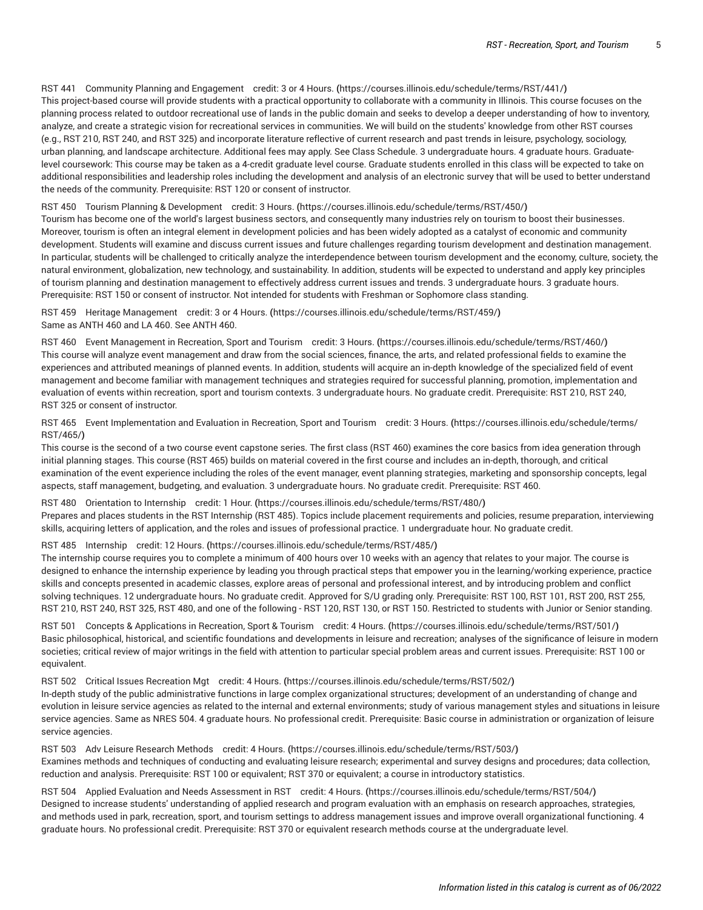### RST 441 Community Planning and [Engagement](https://courses.illinois.edu/schedule/terms/RST/441/) credit: 3 or 4 Hours. **(**<https://courses.illinois.edu/schedule/terms/RST/441/>**)** This project-based course will provide students with a practical opportunity to collaborate with a community in Illinois. This course focuses on the planning process related to outdoor recreational use of lands in the public domain and seeks to develop a deeper understanding of how to inventory, analyze, and create a strategic vision for recreational services in communities. We will build on the students' knowledge from other RST courses (e.g., [RST 210,](/search/?P=RST%20210) [RST 240,](/search/?P=RST%20240) and [RST 325](/search/?P=RST%20325)) and incorporate literature reflective of current research and past trends in leisure, psychology, sociology, urban planning, and landscape architecture. Additional fees may apply. See Class Schedule. 3 undergraduate hours. 4 graduate hours. Graduatelevel coursework: This course may be taken as a 4-credit graduate level course. Graduate students enrolled in this class will be expected to take on additional responsibilities and leadership roles including the development and analysis of an electronic survey that will be used to better understand the needs of the community. Prerequisite: [RST 120](/search/?P=RST%20120) or consent of instructor.

RST 450 Tourism Planning & [Development](https://courses.illinois.edu/schedule/terms/RST/450/) credit: 3 Hours. **(**<https://courses.illinois.edu/schedule/terms/RST/450/>**)**

Tourism has become one of the world's largest business sectors, and consequently many industries rely on tourism to boost their businesses. Moreover, tourism is often an integral element in development policies and has been widely adopted as a catalyst of economic and community development. Students will examine and discuss current issues and future challenges regarding tourism development and destination management. In particular, students will be challenged to critically analyze the interdependence between tourism development and the economy, culture, society, the natural environment, globalization, new technology, and sustainability. In addition, students will be expected to understand and apply key principles of tourism planning and destination management to effectively address current issues and trends. 3 undergraduate hours. 3 graduate hours. Prerequisite: [RST 150](/search/?P=RST%20150) or consent of instructor. Not intended for students with Freshman or Sophomore class standing.

RST 459 Heritage [Management](https://courses.illinois.edu/schedule/terms/RST/459/) credit: 3 or 4 Hours. **(**<https://courses.illinois.edu/schedule/terms/RST/459/>**)** Same as [ANTH](/search/?P=ANTH%20460) 460 and LA [460](/search/?P=LA%20460). See [ANTH](/search/?P=ANTH%20460) 460.

RST 460 Event [Management](https://courses.illinois.edu/schedule/terms/RST/460/) in Recreation, Sport and Tourism credit: 3 Hours. **(**<https://courses.illinois.edu/schedule/terms/RST/460/>**)** This course will analyze event management and draw from the social sciences, finance, the arts, and related professional fields to examine the experiences and attributed meanings of planned events. In addition, students will acquire an in-depth knowledge of the specialized field of event management and become familiar with management techniques and strategies required for successful planning, promotion, implementation and evaluation of events within recreation, sport and tourism contexts. 3 undergraduate hours. No graduate credit. Prerequisite: [RST 210,](/search/?P=RST%20210) [RST 240,](/search/?P=RST%20240) [RST 325](/search/?P=RST%20325) or consent of instructor.

RST 465 Event [Implementation](https://courses.illinois.edu/schedule/terms/RST/465/) and Evaluation in Recreation, Sport and Tourism credit: 3 Hours. **(**[https://courses.illinois.edu/schedule/terms/](https://courses.illinois.edu/schedule/terms/RST/465/) [RST/465/](https://courses.illinois.edu/schedule/terms/RST/465/)**)**

This course is the second of a two course event capstone series. The first class [\(RST 460\)](/search/?P=RST%20460) examines the core basics from idea generation through initial planning stages. This course ([RST 465](/search/?P=RST%20465)) builds on material covered in the first course and includes an in-depth, thorough, and critical examination of the event experience including the roles of the event manager, event planning strategies, marketing and sponsorship concepts, legal aspects, staff management, budgeting, and evaluation. 3 undergraduate hours. No graduate credit. Prerequisite: [RST 460](/search/?P=RST%20460).

RST 480 [Orientation](https://courses.illinois.edu/schedule/terms/RST/480/) to Internship credit: 1 Hour. **(**<https://courses.illinois.edu/schedule/terms/RST/480/>**)** Prepares and places students in the RST Internship ([RST 485](/search/?P=RST%20485)). Topics include placement requirements and policies, resume preparation, interviewing skills, acquiring letters of application, and the roles and issues of professional practice. 1 undergraduate hour. No graduate credit.

#### RST 485 [Internship](https://courses.illinois.edu/schedule/terms/RST/485/) credit: 12 Hours. **(**<https://courses.illinois.edu/schedule/terms/RST/485/>**)**

The internship course requires you to complete a minimum of 400 hours over 10 weeks with an agency that relates to your major. The course is designed to enhance the internship experience by leading you through practical steps that empower you in the learning/working experience, practice skills and concepts presented in academic classes, explore areas of personal and professional interest, and by introducing problem and conflict solving techniques. 12 undergraduate hours. No graduate credit. Approved for S/U grading only. Prerequisite: [RST 100](/search/?P=RST%20100), [RST 101](/search/?P=RST%20101), [RST 200](/search/?P=RST%20200), [RST 255](/search/?P=RST%20255), [RST 210](/search/?P=RST%20210), [RST 240](/search/?P=RST%20240), [RST 325](/search/?P=RST%20325), [RST 480](/search/?P=RST%20480), and one of the following - [RST 120](/search/?P=RST%20120), [RST 130](/search/?P=RST%20130), or [RST 150](/search/?P=RST%20150). Restricted to students with Junior or Senior standing.

RST 501 Concepts & [Applications](https://courses.illinois.edu/schedule/terms/RST/501/) in Recreation, Sport & Tourism credit: 4 Hours. **(**<https://courses.illinois.edu/schedule/terms/RST/501/>**)** Basic philosophical, historical, and scientific foundations and developments in leisure and recreation; analyses of the significance of leisure in modern societies; critical review of major writings in the field with attention to particular special problem areas and current issues. Prerequisite: [RST 100](/search/?P=RST%20100) or equivalent.

RST 502 Critical Issues [Recreation](https://courses.illinois.edu/schedule/terms/RST/502/) Mgt credit: 4 Hours. **(**<https://courses.illinois.edu/schedule/terms/RST/502/>**)** In-depth study of the public administrative functions in large complex organizational structures; development of an understanding of change and evolution in leisure service agencies as related to the internal and external environments; study of various management styles and situations in leisure service agencies. Same as [NRES 504](/search/?P=NRES%20504). 4 graduate hours. No professional credit. Prerequisite: Basic course in administration or organization of leisure service agencies.

RST 503 Adv Leisure [Research](https://courses.illinois.edu/schedule/terms/RST/503/) Methods credit: 4 Hours. **(**<https://courses.illinois.edu/schedule/terms/RST/503/>**)** Examines methods and techniques of conducting and evaluating leisure research; experimental and survey designs and procedures; data collection, reduction and analysis. Prerequisite: [RST 100](/search/?P=RST%20100) or equivalent; [RST 370](/search/?P=RST%20370) or equivalent; a course in introductory statistics.

RST 504 Applied Evaluation and Needs [Assessment](https://courses.illinois.edu/schedule/terms/RST/504/) in RST credit: 4 Hours. **(**<https://courses.illinois.edu/schedule/terms/RST/504/>**)** Designed to increase students' understanding of applied research and program evaluation with an emphasis on research approaches, strategies, and methods used in park, recreation, sport, and tourism settings to address management issues and improve overall organizational functioning. 4 graduate hours. No professional credit. Prerequisite: [RST 370](/search/?P=RST%20370) or equivalent research methods course at the undergraduate level.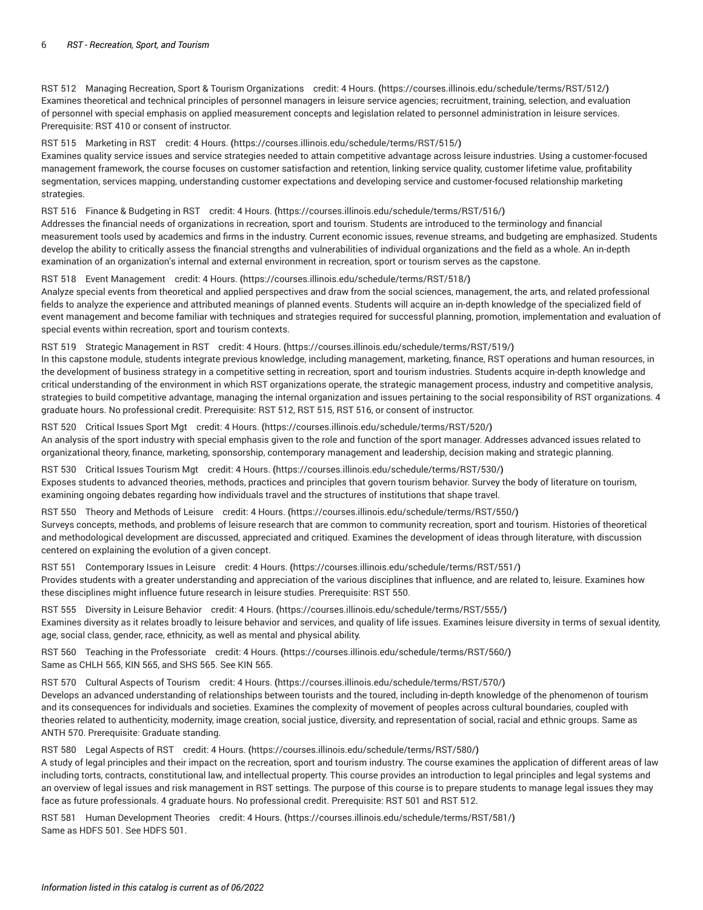RST 512 Managing Recreation, Sport & Tourism [Organizations](https://courses.illinois.edu/schedule/terms/RST/512/) credit: 4 Hours. **(**<https://courses.illinois.edu/schedule/terms/RST/512/>**)** Examines theoretical and technical principles of personnel managers in leisure service agencies; recruitment, training, selection, and evaluation of personnel with special emphasis on applied measurement concepts and legislation related to personnel administration in leisure services. Prerequisite: [RST 410](/search/?P=RST%20410) or consent of instructor.

RST 515 [Marketing](https://courses.illinois.edu/schedule/terms/RST/515/) in RST credit: 4 Hours. **(**<https://courses.illinois.edu/schedule/terms/RST/515/>**)**

Examines quality service issues and service strategies needed to attain competitive advantage across leisure industries. Using a customer-focused management framework, the course focuses on customer satisfaction and retention, linking service quality, customer lifetime value, profitability segmentation, services mapping, understanding customer expectations and developing service and customer-focused relationship marketing strategies.

RST 516 Finance & [Budgeting](https://courses.illinois.edu/schedule/terms/RST/516/) in RST credit: 4 Hours. **(**<https://courses.illinois.edu/schedule/terms/RST/516/>**)**

Addresses the financial needs of organizations in recreation, sport and tourism. Students are introduced to the terminology and financial measurement tools used by academics and firms in the industry. Current economic issues, revenue streams, and budgeting are emphasized. Students develop the ability to critically assess the financial strengths and vulnerabilities of individual organizations and the field as a whole. An in-depth examination of an organization's internal and external environment in recreation, sport or tourism serves as the capstone.

RST 518 Event [Management](https://courses.illinois.edu/schedule/terms/RST/518/) credit: 4 Hours. **(**<https://courses.illinois.edu/schedule/terms/RST/518/>**)**

Analyze special events from theoretical and applied perspectives and draw from the social sciences, management, the arts, and related professional fields to analyze the experience and attributed meanings of planned events. Students will acquire an in-depth knowledge of the specialized field of event management and become familiar with techniques and strategies required for successful planning, promotion, implementation and evaluation of special events within recreation, sport and tourism contexts.

RST 519 Strategic [Management](https://courses.illinois.edu/schedule/terms/RST/519/) in RST credit: 4 Hours. **(**<https://courses.illinois.edu/schedule/terms/RST/519/>**)**

In this capstone module, students integrate previous knowledge, including management, marketing, finance, RST operations and human resources, in the development of business strategy in a competitive setting in recreation, sport and tourism industries. Students acquire in-depth knowledge and critical understanding of the environment in which RST organizations operate, the strategic management process, industry and competitive analysis, strategies to build competitive advantage, managing the internal organization and issues pertaining to the social responsibility of RST organizations. 4 graduate hours. No professional credit. Prerequisite: [RST 512,](/search/?P=RST%20512) [RST 515,](/search/?P=RST%20515) [RST 516,](/search/?P=RST%20516) or consent of instructor.

RST 520 [Critical](https://courses.illinois.edu/schedule/terms/RST/520/) Issues Sport Mgt credit: 4 Hours. **(**<https://courses.illinois.edu/schedule/terms/RST/520/>**)** An analysis of the sport industry with special emphasis given to the role and function of the sport manager. Addresses advanced issues related to organizational theory, finance, marketing, sponsorship, contemporary management and leadership, decision making and strategic planning.

RST 530 Critical Issues [Tourism](https://courses.illinois.edu/schedule/terms/RST/530/) Mgt credit: 4 Hours. **(**<https://courses.illinois.edu/schedule/terms/RST/530/>**)** Exposes students to advanced theories, methods, practices and principles that govern tourism behavior. Survey the body of literature on tourism, examining ongoing debates regarding how individuals travel and the structures of institutions that shape travel.

RST 550 Theory and [Methods](https://courses.illinois.edu/schedule/terms/RST/550/) of Leisure credit: 4 Hours. **(**<https://courses.illinois.edu/schedule/terms/RST/550/>**)** Surveys concepts, methods, and problems of leisure research that are common to community recreation, sport and tourism. Histories of theoretical and methodological development are discussed, appreciated and critiqued. Examines the development of ideas through literature, with discussion centered on explaining the evolution of a given concept.

RST 551 [Contemporary](https://courses.illinois.edu/schedule/terms/RST/551/) Issues in Leisure credit: 4 Hours. **(**<https://courses.illinois.edu/schedule/terms/RST/551/>**)** Provides students with a greater understanding and appreciation of the various disciplines that influence, and are related to, leisure. Examines how these disciplines might influence future research in leisure studies. Prerequisite: [RST 550](/search/?P=RST%20550).

RST 555 Diversity in Leisure [Behavior](https://courses.illinois.edu/schedule/terms/RST/555/) credit: 4 Hours. **(**<https://courses.illinois.edu/schedule/terms/RST/555/>**)** Examines diversity as it relates broadly to leisure behavior and services, and quality of life issues. Examines leisure diversity in terms of sexual identity, age, social class, gender, race, ethnicity, as well as mental and physical ability.

RST 560 Teaching in the [Professoriate](https://courses.illinois.edu/schedule/terms/RST/560/) credit: 4 Hours. **(**<https://courses.illinois.edu/schedule/terms/RST/560/>**)** Same as [CHLH 565](/search/?P=CHLH%20565), [KIN 565,](/search/?P=KIN%20565) and [SHS 565.](/search/?P=SHS%20565) See [KIN 565.](/search/?P=KIN%20565)

RST 570 Cultural Aspects of [Tourism](https://courses.illinois.edu/schedule/terms/RST/570/) credit: 4 Hours. **(**<https://courses.illinois.edu/schedule/terms/RST/570/>**)** Develops an advanced understanding of relationships between tourists and the toured, including in-depth knowledge of the phenomenon of tourism and its consequences for individuals and societies. Examines the complexity of movement of peoples across cultural boundaries, coupled with theories related to authenticity, modernity, image creation, social justice, diversity, and representation of social, racial and ethnic groups. Same as [ANTH](/search/?P=ANTH%20570) 570. Prerequisite: Graduate standing.

RST 580 Legal [Aspects](https://courses.illinois.edu/schedule/terms/RST/580/) of RST credit: 4 Hours. **(**<https://courses.illinois.edu/schedule/terms/RST/580/>**)**

A study of legal principles and their impact on the recreation, sport and tourism industry. The course examines the application of different areas of law including torts, contracts, constitutional law, and intellectual property. This course provides an introduction to legal principles and legal systems and an overview of legal issues and risk management in RST settings. The purpose of this course is to prepare students to manage legal issues they may face as future professionals. 4 graduate hours. No professional credit. Prerequisite: [RST 501](/search/?P=RST%20501) and [RST 512](/search/?P=RST%20512).

RST 581 Human [Development](https://courses.illinois.edu/schedule/terms/RST/581/) Theories credit: 4 Hours. **(**<https://courses.illinois.edu/schedule/terms/RST/581/>**)** Same as [HDFS 501](/search/?P=HDFS%20501). See [HDFS 501.](/search/?P=HDFS%20501)